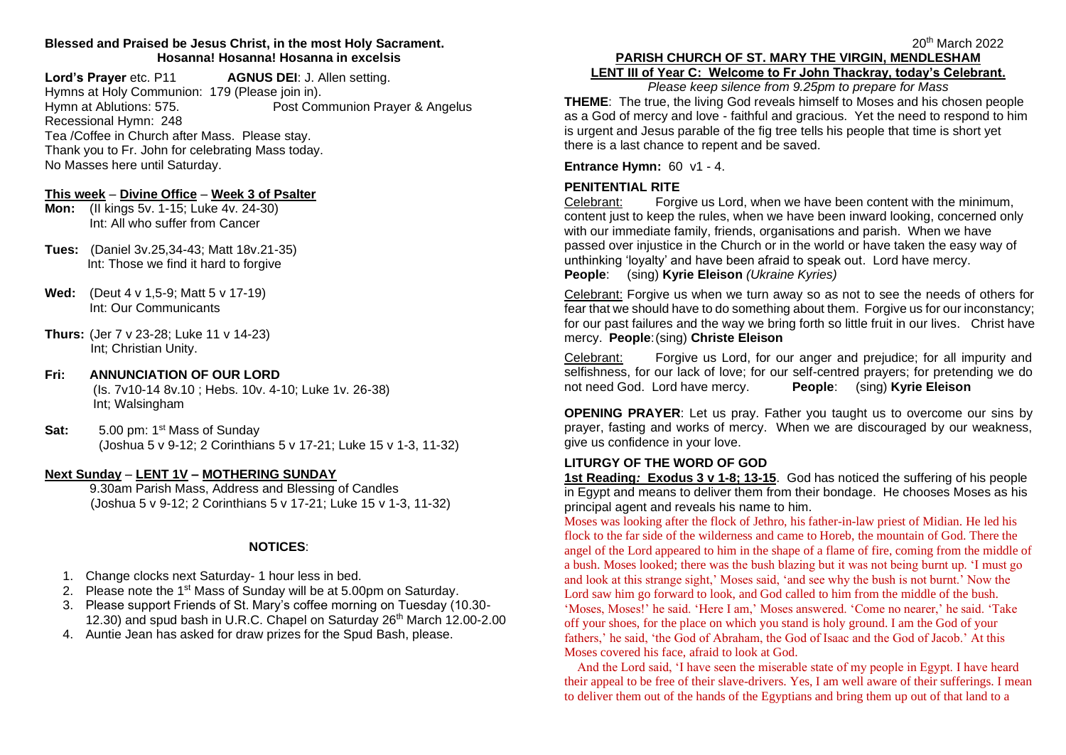### **Blessed and Praised be Jesus Christ, in the most Holy Sacrament. Hosanna! Hosanna! Hosanna in excelsis**

**Lord's Prayer** etc. P11 **AGNUS DEI**: J. Allen setting. Hymns at Holy Communion: 179 (Please join in). Hymn at Ablutions: 575. Post Communion Prayer & Angelus Recessional Hymn: 248 Tea /Coffee in Church after Mass. Please stay. Thank you to Fr. John for celebrating Mass today. No Masses here until Saturday.

#### **This week** – **Divine Office** – **Week 3 of Psalter**

- **Mon:** (II kings 5v. 1-15; Luke 4v. 24-30) Int: All who suffer from Cancer
- **Tues:** (Daniel 3v.25,34-43; Matt 18v.21-35) Int: Those we find it hard to forgive
- **Wed:** (Deut 4 v 1,5-9; Matt 5 v 17-19) Int: Our Communicants
- **Thurs:** (Jer 7 v 23-28; Luke 11 v 14-23) Int; Christian Unity.

### **Fri: ANNUNCIATION OF OUR LORD**

(Is. 7v10-14 8v.10 ; Hebs. 10v. 4-10; Luke 1v. 26-38) Int; Walsingham

**Sat:** 5.00 pm: 1<sup>st</sup> Mass of Sunday (Joshua 5 v 9-12; 2 Corinthians 5 v 17-21; Luke 15 v 1-3, 11-32)

# **Next Sunday** – **LENT 1V – MOTHERING SUNDAY**

9.30am Parish Mass, Address and Blessing of Candles (Joshua 5 v 9-12; 2 Corinthians 5 v 17-21; Luke 15 v 1-3, 11-32)

### **NOTICES**:

- 1. Change clocks next Saturday- 1 hour less in bed.
- 2. Please note the 1<sup>st</sup> Mass of Sunday will be at 5.00pm on Saturday.
- 3. Please support Friends of St. Mary's coffee morning on Tuesday (10.30- 12.30) and spud bash in U.R.C. Chapel on Saturday 26<sup>th</sup> March 12.00-2.00
- 4. Auntie Jean has asked for draw prizes for the Spud Bash, please.

#### 20<sup>th</sup> March 2022 **PARISH CHURCH OF ST. MARY THE VIRGIN, MENDLESHAM LENT III of Year C: Welcome to Fr John Thackray, today's Celebrant.**

*Please keep silence from 9.25pm to prepare for Mass*

**THEME**: The true, the living God reveals himself to Moses and his chosen people as a God of mercy and love - faithful and gracious. Yet the need to respond to him is urgent and Jesus parable of the fig tree tells his people that time is short yet there is a last chance to repent and be saved.

**Entrance Hymn:** 60 v1 - 4.

# **PENITENTIAL RITE**

Celebrant: Forgive us Lord, when we have been content with the minimum, content just to keep the rules, when we have been inward looking, concerned only with our immediate family, friends, organisations and parish. When we have passed over injustice in the Church or in the world or have taken the easy way of unthinking 'loyalty' and have been afraid to speak out. Lord have mercy. **People**: (sing) **Kyrie Eleison** *(Ukraine Kyries)*

Celebrant: Forgive us when we turn away so as not to see the needs of others for fear that we should have to do something about them. Forgive us for our inconstancy; for our past failures and the way we bring forth so little fruit in our lives. Christ have mercy. **People**:(sing) **Christe Eleison**

Celebrant: Forgive us Lord, for our anger and prejudice; for all impurity and selfishness, for our lack of love; for our self-centred prayers; for pretending we do not need God. Lord have mercy. **People**: (sing) **Kyrie Eleison**

**OPENING PRAYER**: Let us pray. Father you taught us to overcome our sins by prayer, fasting and works of mercy. When we are discouraged by our weakness, give us confidence in your love.

### **LITURGY OF THE WORD OF GOD**

**1st Reading***:* **Exodus 3 v 1-8; 13-15**. God has noticed the suffering of his people in Egypt and means to deliver them from their bondage. He chooses Moses as his principal agent and reveals his name to him.

Moses was looking after the flock of Jethro, his father-in-law priest of Midian. He led his flock to the far side of the wilderness and came to Horeb, the mountain of God. There the angel of the Lord appeared to him in the shape of a flame of fire, coming from the middle of a bush. Moses looked; there was the bush blazing but it was not being burnt up. 'I must go and look at this strange sight,' Moses said, 'and see why the bush is not burnt.' Now the Lord saw him go forward to look, and God called to him from the middle of the bush. 'Moses, Moses!' he said. 'Here I am,' Moses answered. 'Come no nearer,' he said. 'Take off your shoes, for the place on which you stand is holy ground. I am the God of your fathers,' he said, 'the God of Abraham, the God of Isaac and the God of Jacob.' At this Moses covered his face, afraid to look at God.

 And the Lord said, 'I have seen the miserable state of my people in Egypt. I have heard their appeal to be free of their slave-drivers. Yes, I am well aware of their sufferings. I mean to deliver them out of the hands of the Egyptians and bring them up out of that land to a